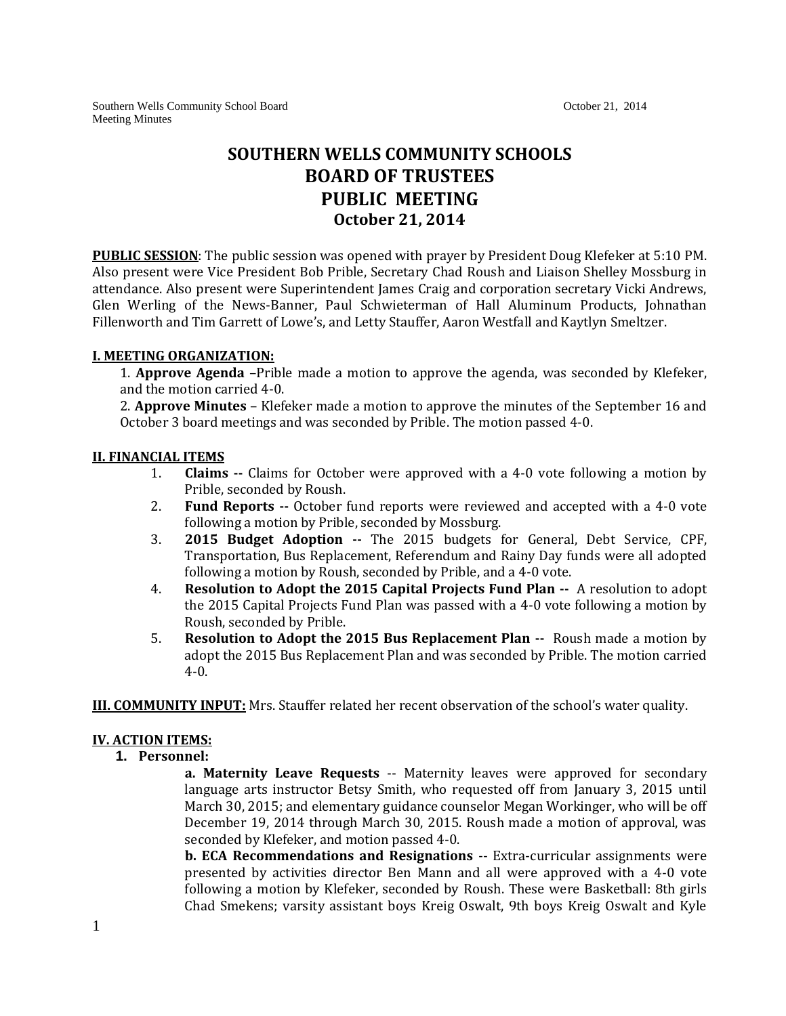Southern Wells Community School Board **October 21, 2014** October 21, 2014 Meeting Minutes

# **SOUTHERN WELLS COMMUNITY SCHOOLS BOARD OF TRUSTEES PUBLIC MEETING October 21, 2014**

**PUBLIC SESSION**: The public session was opened with prayer by President Doug Klefeker at 5:10 PM. Also present were Vice President Bob Prible, Secretary Chad Roush and Liaison Shelley Mossburg in attendance. Also present were Superintendent James Craig and corporation secretary Vicki Andrews, Glen Werling of the News-Banner, Paul Schwieterman of Hall Aluminum Products, Johnathan Fillenworth and Tim Garrett of Lowe's, and Letty Stauffer, Aaron Westfall and Kaytlyn Smeltzer.

### **I. MEETING ORGANIZATION:**

1. **Approve Agenda** –Prible made a motion to approve the agenda, was seconded by Klefeker, and the motion carried 4-0.

2. **Approve Minutes** – Klefeker made a motion to approve the minutes of the September 16 and October 3 board meetings and was seconded by Prible. The motion passed 4-0.

### **II. FINANCIAL ITEMS**

- 1. **Claims --** Claims for October were approved with a 4-0 vote following a motion by Prible, seconded by Roush.
- 2. **Fund Reports --** October fund reports were reviewed and accepted with a 4-0 vote following a motion by Prible, seconded by Mossburg.
- 3. **2015 Budget Adoption --** The 2015 budgets for General, Debt Service, CPF, Transportation, Bus Replacement, Referendum and Rainy Day funds were all adopted following a motion by Roush, seconded by Prible, and a 4-0 vote.
- 4. **Resolution to Adopt the 2015 Capital Projects Fund Plan --** A resolution to adopt the 2015 Capital Projects Fund Plan was passed with a 4-0 vote following a motion by Roush, seconded by Prible.
- 5. **Resolution to Adopt the 2015 Bus Replacement Plan --** Roush made a motion by adopt the 2015 Bus Replacement Plan and was seconded by Prible. The motion carried 4-0.

**III. COMMUNITY INPUT:** Mrs. Stauffer related her recent observation of the school's water quality.

## **IV. ACTION ITEMS:**

**1. Personnel:**

**a. Maternity Leave Requests** -- Maternity leaves were approved for secondary language arts instructor Betsy Smith, who requested off from January 3, 2015 until March 30, 2015; and elementary guidance counselor Megan Workinger, who will be off December 19, 2014 through March 30, 2015. Roush made a motion of approval, was seconded by Klefeker, and motion passed 4-0.

**b. ECA Recommendations and Resignations** -- Extra-curricular assignments were presented by activities director Ben Mann and all were approved with a 4-0 vote following a motion by Klefeker, seconded by Roush. These were Basketball: 8th girls Chad Smekens; varsity assistant boys Kreig Oswalt, 9th boys Kreig Oswalt and Kyle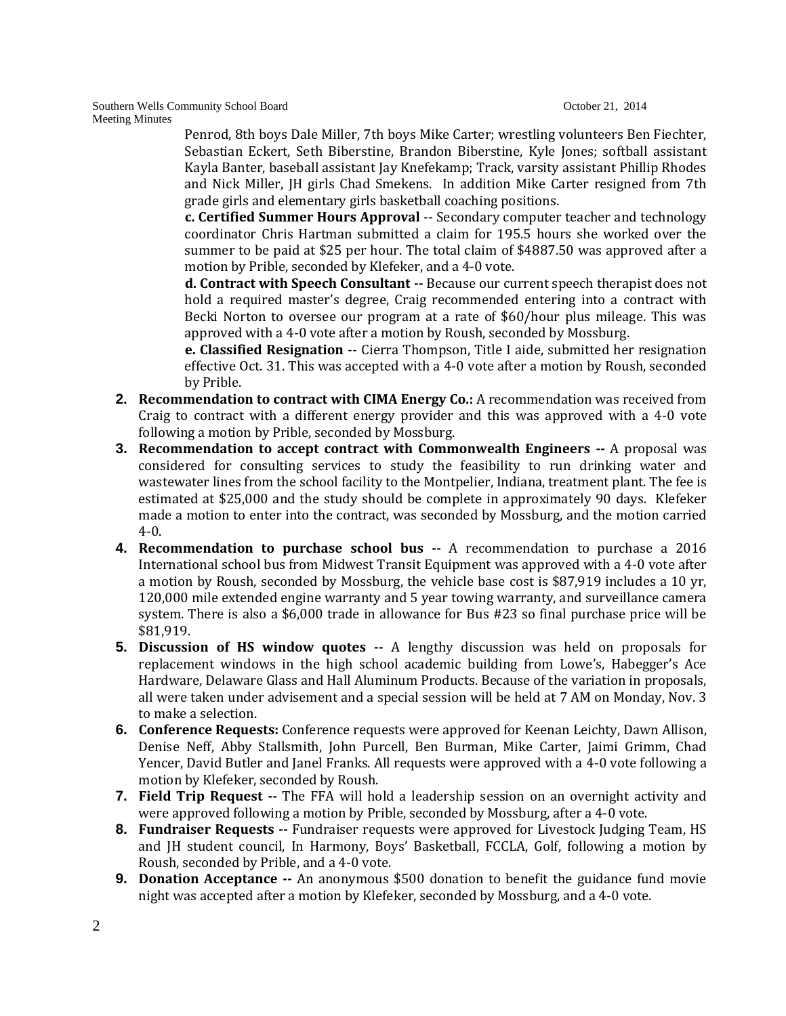Southern Wells Community School Board **October 21, 2014** October 21, 2014 Meeting Minutes

> Penrod, 8th boys Dale Miller, 7th boys Mike Carter; wrestling volunteers Ben Fiechter, Sebastian Eckert, Seth Biberstine, Brandon Biberstine, Kyle Jones; softball assistant Kayla Banter, baseball assistant Jay Knefekamp; Track, varsity assistant Phillip Rhodes and Nick Miller, JH girls Chad Smekens. In addition Mike Carter resigned from 7th grade girls and elementary girls basketball coaching positions.

> **c. Certified Summer Hours Approval** -- Secondary computer teacher and technology coordinator Chris Hartman submitted a claim for 195.5 hours she worked over the summer to be paid at \$25 per hour. The total claim of \$4887.50 was approved after a motion by Prible, seconded by Klefeker, and a 4-0 vote.

> **d. Contract with Speech Consultant --** Because our current speech therapist does not hold a required master's degree, Craig recommended entering into a contract with Becki Norton to oversee our program at a rate of \$60/hour plus mileage. This was approved with a 4-0 vote after a motion by Roush, seconded by Mossburg.

> **e. Classified Resignation** -- Cierra Thompson, Title I aide, submitted her resignation effective Oct. 31. This was accepted with a 4-0 vote after a motion by Roush, seconded by Prible.

- **2. Recommendation to contract with CIMA Energy Co.:** A recommendation was received from Craig to contract with a different energy provider and this was approved with a 4-0 vote following a motion by Prible, seconded by Mossburg.
- **3. Recommendation to accept contract with Commonwealth Engineers -- A proposal was** considered for consulting services to study the feasibility to run drinking water and wastewater lines from the school facility to the Montpelier, Indiana, treatment plant. The fee is estimated at \$25,000 and the study should be complete in approximately 90 days. Klefeker made a motion to enter into the contract, was seconded by Mossburg, and the motion carried 4-0.
- **4. Recommendation to purchase school bus --** A recommendation to purchase a 2016 International school bus from Midwest Transit Equipment was approved with a 4-0 vote after a motion by Roush, seconded by Mossburg, the vehicle base cost is \$87,919 includes a 10 yr, 120,000 mile extended engine warranty and 5 year towing warranty, and surveillance camera system. There is also a \$6,000 trade in allowance for Bus #23 so final purchase price will be \$81,919.
- **5. Discussion of HS window quotes --** A lengthy discussion was held on proposals for replacement windows in the high school academic building from Lowe's, Habegger's Ace Hardware, Delaware Glass and Hall Aluminum Products. Because of the variation in proposals, all were taken under advisement and a special session will be held at 7 AM on Monday, Nov. 3 to make a selection.
- **6. Conference Requests:** Conference requests were approved for Keenan Leichty, Dawn Allison, Denise Neff, Abby Stallsmith, John Purcell, Ben Burman, Mike Carter, Jaimi Grimm, Chad Yencer, David Butler and Janel Franks. All requests were approved with a 4-0 vote following a motion by Klefeker, seconded by Roush.
- **7. Field Trip Request --** The FFA will hold a leadership session on an overnight activity and were approved following a motion by Prible, seconded by Mossburg, after a 4-0 vote.
- **8. Fundraiser Requests --** Fundraiser requests were approved for Livestock Judging Team, HS and JH student council, In Harmony, Boys' Basketball, FCCLA, Golf, following a motion by Roush, seconded by Prible, and a 4-0 vote.
- **9. Donation Acceptance --** An anonymous \$500 donation to benefit the guidance fund movie night was accepted after a motion by Klefeker, seconded by Mossburg, and a 4-0 vote.